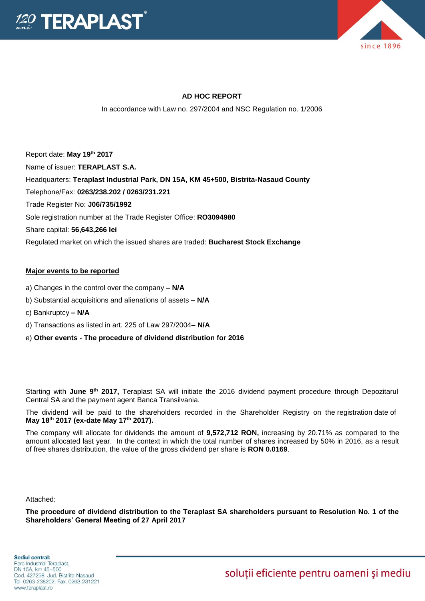



# **AD HOC REPORT**

In accordance with Law no. 297/2004 and NSC Regulation no. 1/2006

Report date: **May 19 th 2017** Name of issuer: **TERAPLAST S.A.**  Headquarters: **Teraplast Industrial Park, DN 15A, KM 45+500, Bistrita-Nasaud County** Telephone/Fax: **0263/238.202 / 0263/231.221** Trade Register No: **J06/735/1992** Sole registration number at the Trade Register Office: **RO3094980** Share capital: **56,643,266 lei**  Regulated market on which the issued shares are traded: **Bucharest Stock Exchange**

## **Major events to be reported**

- a) Changes in the control over the company **– N/A**
- b) Substantial acquisitions and alienations of assets **– N/A**
- c) Bankruptcy **– N/A**
- d) Transactions as listed in art. 225 of Law 297/2004**– N/A**
- e) **Other events - The procedure of dividend distribution for 2016**

Starting with June 9<sup>th</sup> 2017, Teraplast SA will initiate the 2016 dividend payment procedure through Depozitarul Central SA and the payment agent Banca Transilvania.

The dividend will be paid to the shareholders recorded in the Shareholder Registry on the registration date of **May 18th 2017 (ex-date May 17 th 2017).**

The company will allocate for dividends the amount of **9,572,712 RON,** increasing by 20.71% as compared to the amount allocated last year. In the context in which the total number of shares increased by 50% in 2016, as a result of free shares distribution, the value of the gross dividend per share is **RON 0.0169**.

Attached:

**The procedure of dividend distribution to the Teraplast SA shareholders pursuant to Resolution No. 1 of the Shareholders' General Meeting of 27 April 2017**

soluții eficiente pentru oameni și mediu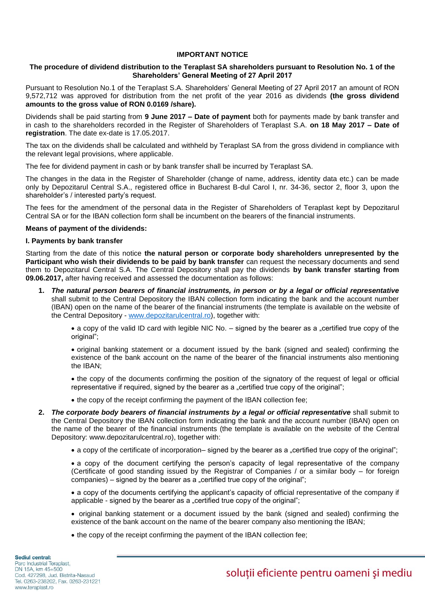#### **IMPORTANT NOTICE**

#### **The procedure of dividend distribution to the Teraplast SA shareholders pursuant to Resolution No. 1 of the Shareholders' General Meeting of 27 April 2017**

Pursuant to Resolution No.1 of the Teraplast S.A. Shareholders' General Meeting of 27 April 2017 an amount of RON 9,572,712 was approved for distribution from the net profit of the year 2016 as dividends **(the gross dividend amounts to the gross value of RON 0.0169 /share).**

Dividends shall be paid starting from **9 June 2017 – Date of payment** both for payments made by bank transfer and in cash to the shareholders recorded in the Register of Shareholders of Teraplast S.A. **on 18 May 2017 – Date of registration**. The date ex-date is 17.05.2017.

The tax on the dividends shall be calculated and withheld by Teraplast SA from the gross dividend in compliance with the relevant legal provisions, where applicable.

The fee for dividend payment in cash or by bank transfer shall be incurred by Teraplast SA.

The changes in the data in the Register of Shareholder (change of name, address, identity data etc.) can be made only by Depozitarul Central S.A., registered office in Bucharest B-dul Carol I, nr. 34-36, sector 2, floor 3, upon the shareholder's / interested party's request.

The fees for the amendment of the personal data in the Register of Shareholders of Teraplast kept by Depozitarul Central SA or for the IBAN collection form shall be incumbent on the bearers of the financial instruments.

#### **Means of payment of the dividends:**

#### **I. Payments by bank transfer**

Starting from the date of this notice **the natural person or corporate body shareholders unrepresented by the Participant who wish their dividends to be paid by bank transfer** can request the necessary documents and send them to Depozitarul Central S.A. The Central Depository shall pay the dividends **by bank transfer starting from 09.06.2017,** after having received and assessed the documentation as follows:

**1.** *The natural person bearers of financial instruments, in person or by a legal or official representative* shall submit to the Central Depository the IBAN collection form indicating the bank and the account number (IBAN) open on the name of the bearer of the financial instruments (the template is available on the website of the Central Depository - [www.depozitarulcentral.ro\)](http://www.depozitarulcentral.ro/), together with:

• a copy of the valid ID card with legible NIC No. – signed by the bearer as a "certified true copy of the original":

 original banking statement or a document issued by the bank (signed and sealed) confirming the existence of the bank account on the name of the bearer of the financial instruments also mentioning the IBAN;

• the copy of the documents confirming the position of the signatory of the request of legal or official representative if required, signed by the bearer as a "certified true copy of the original";

• the copy of the receipt confirming the payment of the IBAN collection fee;

- **2.** *The corporate body bearers of financial instruments by a legal or official representative* shall submit to the Central Depository the IBAN collection form indicating the bank and the account number (IBAN) open on the name of the bearer of the financial instruments (the template is available on the website of the Central Depository: www.depozitarulcentral.ro), together with:
	- a copy of the certificate of incorporation– signed by the bearer as a "certified true copy of the original";

 a copy of the document certifying the person's capacity of legal representative of the company (Certificate of good standing issued by the Registrar of Companies / or a similar body – for foreign  $comparies$  – signed by the bearer as a "certified true copy of the original";

 a copy of the documents certifying the applicant's capacity of official representative of the company if applicable - signed by the bearer as a "certified true copy of the original";

- original banking statement or a document issued by the bank (signed and sealed) confirming the existence of the bank account on the name of the bearer company also mentioning the IBAN;
- the copy of the receipt confirming the payment of the IBAN collection fee;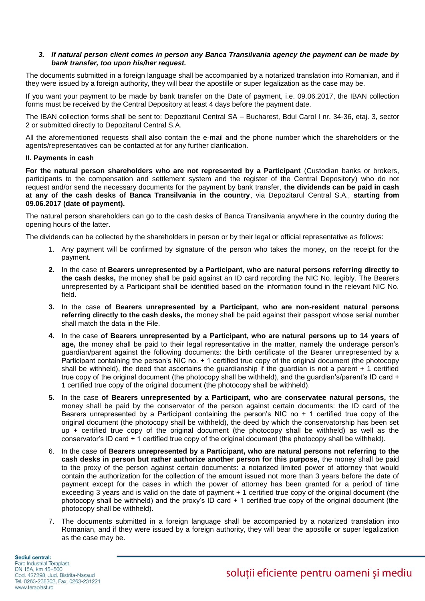## *3. If natural person client comes in person any Banca Transilvania agency the payment can be made by bank transfer, too upon his/her request.*

The documents submitted in a foreign language shall be accompanied by a notarized translation into Romanian, and if they were issued by a foreign authority, they will bear the apostille or super legalization as the case may be.

If you want your payment to be made by bank transfer on the Date of payment, i.e. 09.06.2017, the IBAN collection forms must be received by the Central Depository at least 4 days before the payment date.

The IBAN collection forms shall be sent to: Depozitarul Central SA – Bucharest, Bdul Carol I nr. 34-36, etaj. 3, sector 2 or submitted directly to Depozitarul Central S.A.

All the aforementioned requests shall also contain the e-mail and the phone number which the shareholders or the agents/representatives can be contacted at for any further clarification.

## **II. Payments in cash**

**For the natural person shareholders who are not represented by a Participant** (Custodian banks or brokers, participants to the compensation and settlement system and the register of the Central Depository) who do not request and/or send the necessary documents for the payment by bank transfer, **the dividends can be paid in cash at any of the cash desks of Banca Transilvania in the country**, via Depozitarul Central S.A., **starting from 09.06.2017 (date of payment).**

The natural person shareholders can go to the cash desks of Banca Transilvania anywhere in the country during the opening hours of the latter.

The dividends can be collected by the shareholders in person or by their legal or official representative as follows:

- 1. Any payment will be confirmed by signature of the person who takes the money, on the receipt for the payment.
- **2.** In the case of **Bearers unrepresented by a Participant, who are natural persons referring directly to the cash desks,** the money shall be paid against an ID card recording the NIC No. legibly. The Bearers unrepresented by a Participant shall be identified based on the information found in the relevant NIC No. field.
- **3.** In the case **of Bearers unrepresented by a Participant, who are non-resident natural persons referring directly to the cash desks,** the money shall be paid against their passport whose serial number shall match the data in the File.
- **4.** In the case **of Bearers unrepresented by a Participant, who are natural persons up to 14 years of age,** the money shall be paid to their legal representative in the matter, namely the underage person's guardian/parent against the following documents: the birth certificate of the Bearer unrepresented by a Participant containing the person's NIC no. + 1 certified true copy of the original document (the photocopy shall be withheld), the deed that ascertains the guardianship if the guardian is not a parent + 1 certified true copy of the original document (the photocopy shall be withheld), and the guardian's/parent's ID card + 1 certified true copy of the original document (the photocopy shall be withheld).
- **5.** In the case **of Bearers unrepresented by a Participant, who are conservatee natural persons***,* the money shall be paid by the conservator of the person against certain documents: the ID card of the Bearers unrepresented by a Participant containing the person's NIC no  $+$  1 certified true copy of the original document (the photocopy shall be withheld), the deed by which the conservatorship has been set up + certified true copy of the original document (the photocopy shall be withheld) as well as the conservator's ID card + 1 certified true copy of the original document (the photocopy shall be withheld).
- 6. In the case **of Bearers unrepresented by a Participant, who are natural persons not referring to the cash desks in person but rather authorize another person for this purpose,** the money shall be paid to the proxy of the person against certain documents: a notarized limited power of attorney that would contain the authorization for the collection of the amount issued not more than 3 years before the date of payment except for the cases in which the power of attorney has been granted for a period of time exceeding 3 years and is valid on the date of payment + 1 certified true copy of the original document (the photocopy shall be withheld) and the proxy's ID card + 1 certified true copy of the original document (the photocopy shall be withheld).
- 7. The documents submitted in a foreign language shall be accompanied by a notarized translation into Romanian, and if they were issued by a foreign authority, they will bear the apostille or super legalization as the case may be.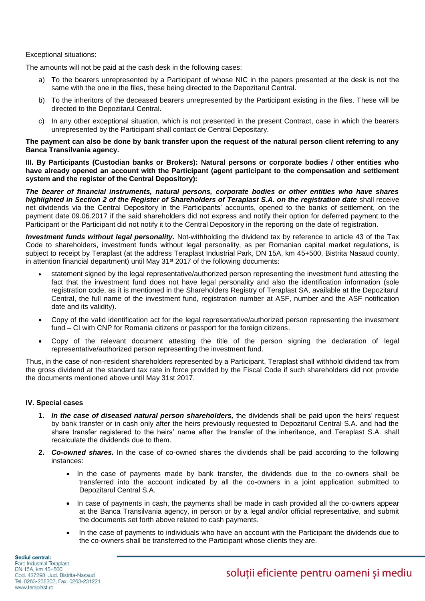### Exceptional situations:

The amounts will not be paid at the cash desk in the following cases:

- a) To the bearers unrepresented by a Participant of whose NIC in the papers presented at the desk is not the same with the one in the files, these being directed to the Depozitarul Central.
- b) To the inheritors of the deceased bearers unrepresented by the Participant existing in the files. These will be directed to the Depozitarul Central.
- c) In any other exceptional situation, which is not presented in the present Contract, case in which the bearers unrepresented by the Participant shall contact de Central Depositary.

## **The payment can also be done by bank transfer upon the request of the natural person client referring to any Banca Transilvania agency.**

**III. By Participants (Custodian banks or Brokers): Natural persons or corporate bodies / other entities who have already opened an account with the Participant (agent participant to the compensation and settlement system and the register of the Central Depository):**

*The bearer of financial instruments, natural persons, corporate bodies or other entities who have shares highlighted in Section 2 of the Register of Shareholders of Teraplast S.A. on the registration date* shall receive net dividends via the Central Depository in the Participants' accounts, opened to the banks of settlement, on the payment date 09.06.2017 if the said shareholders did not express and notify their option for deferred payment to the Participant or the Participant did not notify it to the Central Depository in the reporting on the date of registration.

*Investment funds without legal personality.* Not-withholding the dividend tax by reference to article 43 of the Tax Code to shareholders, investment funds without legal personality, as per Romanian capital market regulations, is subject to receipt by Teraplast (at the address Teraplast Industrial Park, DN 15A, km 45+500, Bistrita Nasaud county, in attention financial department) until May 31<sup>st</sup> 2017 of the following documents:

- statement signed by the legal representative/authorized person representing the investment fund attesting the fact that the investment fund does not have legal personality and also the identification information (sole registration code, as it is mentioned in the Shareholders Registry of Teraplast SA, available at the Depozitarul Central, the full name of the investment fund, registration number at ASF, number and the ASF notification date and its validity).
- Copy of the valid identification act for the legal representative/authorized person representing the investment fund – CI with CNP for Romania citizens or passport for the foreign citizens.
- Copy of the relevant document attesting the title of the person signing the declaration of legal representative/authorized person representing the investment fund.

Thus, in the case of non-resident shareholders represented by a Participant, Teraplast shall withhold dividend tax from the gross dividend at the standard tax rate in force provided by the Fiscal Code if such shareholders did not provide the documents mentioned above until May 31st 2017.

#### **IV. Special cases**

- **1.** *In the case of diseased natural person shareholders,* the dividends shall be paid upon the heirs' request by bank transfer or in cash only after the heirs previously requested to Depozitarul Central S.A. and had the share transfer registered to the heirs' name after the transfer of the inheritance, and Teraplast S.A. shall recalculate the dividends due to them.
- **2.** *Co-owned shares.* In the case of co-owned shares the dividends shall be paid according to the following instances:
	- In the case of payments made by bank transfer, the dividends due to the co-owners shall be transferred into the account indicated by all the co-owners in a joint application submitted to Depozitarul Central S.A.
	- In case of payments in cash, the payments shall be made in cash provided all the co-owners appear at the Banca Transilvania agency, in person or by a legal and/or official representative, and submit the documents set forth above related to cash payments.
	- In the case of payments to individuals who have an account with the Participant the dividends due to the co-owners shall be transferred to the Participant whose clients they are.

Sediul central: Parc Industrial Teraplast, DN 15A, km 45+500 Cod. 427298, Jud. Bistrita-Nasaud Tel. 0263-238202, Fax. 0263-231221 www.teraplast.ro

soluții eficiente pentru oameni și mediu